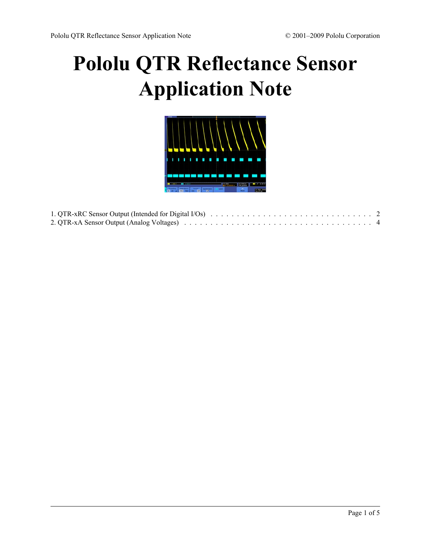## **[Pololu QTR Reflectance Sensor](http://www.pololu.com/docs/0J13) [Application Note](http://www.pololu.com/docs/0J13)**



| 2. QTR-xA Sensor Output (Analog Voltages) and contained a series of the series of the series of the series of the series of the series of the series of the series of the series of the series of the series of the series of |  |
|-------------------------------------------------------------------------------------------------------------------------------------------------------------------------------------------------------------------------------|--|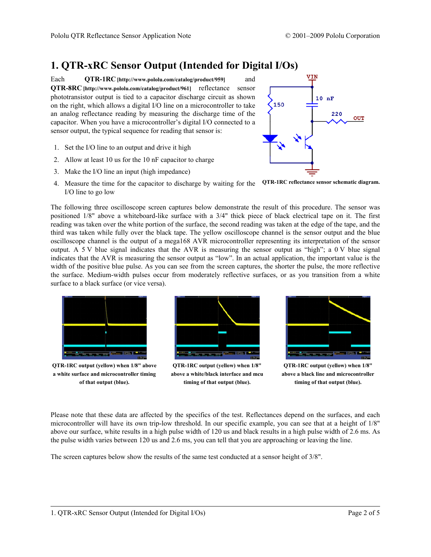## <span id="page-1-0"></span>**1. QTR-xRC Sensor Output (Intended for Digital I/Os)**

Each **QTR-1RC [\[http://www.pololu.com/catalog/product/959\]](http://www.pololu.com/catalog/product/959)** and **QTR-8RC [\[http://www.pololu.com/catalog/product/961\]](http://www.pololu.com/catalog/product/961)** reflectance sensor phototransistor output is tied to a capacitor discharge circuit as shown on the right, which allows a digital I/O line on a microcontroller to take an analog reflectance reading by measuring the discharge time of the capacitor. When you have a microcontroller's digital I/O connected to a sensor output, the typical sequence for reading that sensor is:

- 1. Set the I/O line to an output and drive it high
- 2. Allow at least 10 us for the 10 nF capacitor to charge
- 3. Make the I/O line an input (high impedance)



**QTR-1RC reflectance sensor schematic diagram.** 4. Measure the time for the capacitor to discharge by waiting for the I/O line to go low

The following three oscilloscope screen captures below demonstrate the result of this procedure. The sensor was positioned 1/8" above a whiteboard-like surface with a 3/4" thick piece of black electrical tape on it. The first reading was taken over the white portion of the surface, the second reading was taken at the edge of the tape, and the third was taken while fully over the black tape. The yellow oscilloscope channel is the sensor output and the blue oscilloscope channel is the output of a mega168 AVR microcontroller representing its interpretation of the sensor output. A 5 V blue signal indicates that the AVR is measuring the sensor output as "high"; a 0 V blue signal indicates that the AVR is measuring the sensor output as "low". In an actual application, the important value is the width of the positive blue pulse. As you can see from the screen captures, the shorter the pulse, the more reflective the surface. Medium-width pulses occur from moderately reflective surfaces, or as you transition from a white surface to a black surface (or vice versa).



**QTR-1RC output (yellow) when 1/8" above a white surface and microcontroller timing of that output (blue).**



**QTR-1RC output (yellow) when 1/8" above a white/black interface and mcu timing of that output (blue).**



**QTR-1RC output (yellow) when 1/8" above a black line and microcontroller timing of that output (blue).**

Please note that these data are affected by the specifics of the test. Reflectances depend on the surfaces, and each microcontroller will have its own trip-low threshold. In our specific example, you can see that at a height of 1/8" above our surface, white results in a high pulse width of 120 us and black results in a high pulse width of 2.6 ms. As the pulse width varies between 120 us and 2.6 ms, you can tell that you are approaching or leaving the line.

The screen captures below show the results of the same test conducted at a sensor height of 3/8".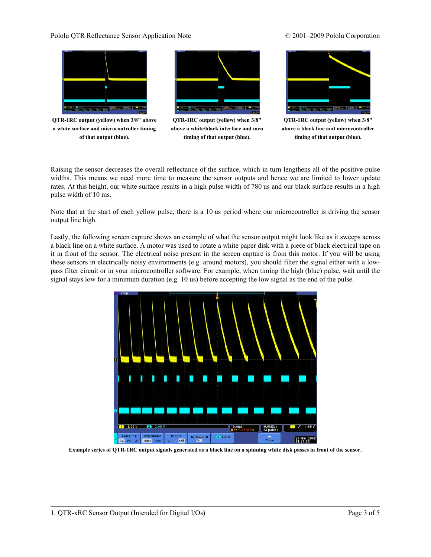### Pololu QTR Reflectance Sensor Application Note © 2001–2009 Pololu Corporation

# **THE REPORT OF O** the contract of the contract of the contract of the contract of the contract of the contract of the contract of

**QTR-1RC output (yellow) when 3/8" above a white surface and microcontroller timing of that output (blue).**



**QTR-1RC output (yellow) when 3/8" above a white/black interface and mcu timing of that output (blue).**



**QTR-1RC output (yellow) when 3/8" above a black line and microcontroller timing of that output (blue).**

Raising the sensor decreases the overall reflectance of the surface, which in turn lengthens all of the positive pulse widths. This means we need more time to measure the sensor outputs and hence we are limited to lower update rates. At this height, our white surface results in a high pulse width of 780 us and our black surface results in a high pulse width of 10 ms.

Note that at the start of each yellow pulse, there is a 10 us period where our microcontroller is driving the sensor output line high.

Lastly, the following screen capture shows an example of what the sensor output might look like as it sweeps across a black line on a white surface. A motor was used to rotate a white paper disk with a piece of black electrical tape on it in front of the sensor. The electrical noise present in the screen capture is from this motor. If you will be using these sensors in electrically noisy environments (e.g. around motors), you should filter the signal either with a lowpass filter circuit or in your microcontroller software. For example, when timing the high (blue) pulse, wait until the signal stays low for a minimum duration (e.g. 10 us) before accepting the low signal as the end of the pulse.



**Example series of QTR-1RC output signals generated as a black line on a spinning white disk passes in front of the sensor.**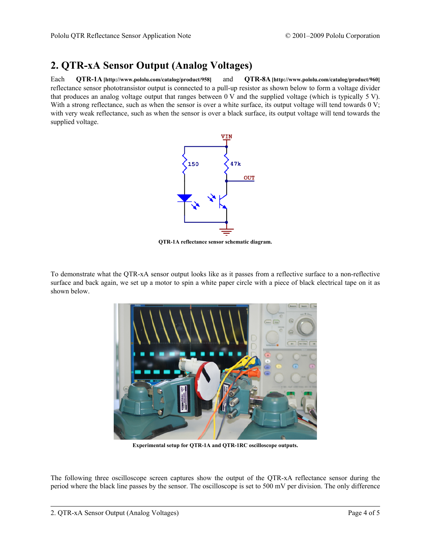## <span id="page-3-0"></span>**2. QTR-xA Sensor Output (Analog Voltages)**

Each **QTR-1A [\[http://www.pololu.com/catalog/product/958\]](http://www.pololu.com/catalog/product/958)** and **QTR-8A [\[http://www.pololu.com/catalog/product/960\]](http://www.pololu.com/catalog/product/960)** reflectance sensor phototransistor output is connected to a pull-up resistor as shown below to form a voltage divider that produces an analog voltage output that ranges between 0 V and the supplied voltage (which is typically 5 V). With a strong reflectance, such as when the sensor is over a white surface, its output voltage will tend towards 0 V; with very weak reflectance, such as when the sensor is over a black surface, its output voltage will tend towards the supplied voltage.



**QTR-1A reflectance sensor schematic diagram.**

To demonstrate what the QTR-xA sensor output looks like as it passes from a reflective surface to a non-reflective surface and back again, we set up a motor to spin a white paper circle with a piece of black electrical tape on it as shown below.



**Experimental setup for QTR-1A and QTR-1RC oscilloscope outputs.**

The following three oscilloscope screen captures show the output of the QTR-xA reflectance sensor during the period where the black line passes by the sensor. The oscilloscope is set to 500 mV per division. The only difference